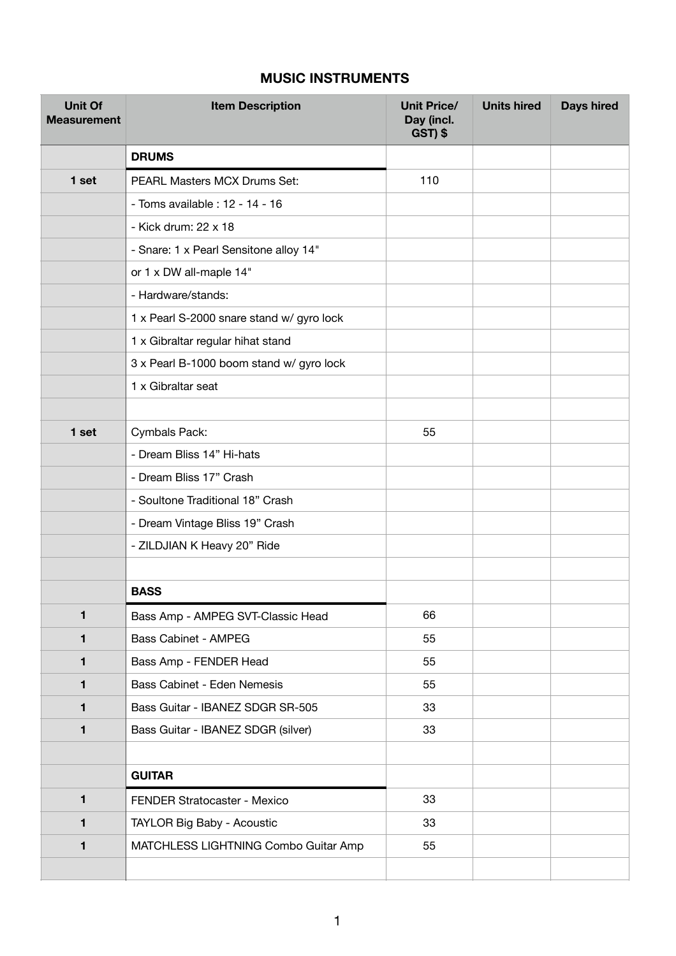## **MUSIC INSTRUMENTS**

| <b>Unit Of</b><br><b>Measurement</b> | <b>Item Description</b>                   | <b>Unit Price/</b><br>Day (incl.<br>GST) \$ | <b>Units hired</b> | <b>Days hired</b> |
|--------------------------------------|-------------------------------------------|---------------------------------------------|--------------------|-------------------|
|                                      | <b>DRUMS</b>                              |                                             |                    |                   |
| 1 set                                | PEARL Masters MCX Drums Set:              | 110                                         |                    |                   |
|                                      | - Toms available : 12 - 14 - 16           |                                             |                    |                   |
|                                      | - Kick drum: 22 x 18                      |                                             |                    |                   |
|                                      | - Snare: 1 x Pearl Sensitone alloy 14"    |                                             |                    |                   |
|                                      | or 1 x DW all-maple 14"                   |                                             |                    |                   |
|                                      | - Hardware/stands:                        |                                             |                    |                   |
|                                      | 1 x Pearl S-2000 snare stand w/ gyro lock |                                             |                    |                   |
|                                      | 1 x Gibraltar regular hihat stand         |                                             |                    |                   |
|                                      | 3 x Pearl B-1000 boom stand w/ gyro lock  |                                             |                    |                   |
|                                      | 1 x Gibraltar seat                        |                                             |                    |                   |
|                                      |                                           |                                             |                    |                   |
| 1 set                                | Cymbals Pack:                             | 55                                          |                    |                   |
|                                      | - Dream Bliss 14" Hi-hats                 |                                             |                    |                   |
|                                      | - Dream Bliss 17" Crash                   |                                             |                    |                   |
|                                      | - Soultone Traditional 18" Crash          |                                             |                    |                   |
|                                      | - Dream Vintage Bliss 19" Crash           |                                             |                    |                   |
|                                      | - ZILDJIAN K Heavy 20" Ride               |                                             |                    |                   |
|                                      |                                           |                                             |                    |                   |
|                                      | <b>BASS</b>                               |                                             |                    |                   |
| 1                                    | Bass Amp - AMPEG SVT-Classic Head         | 66                                          |                    |                   |
| 1                                    | <b>Bass Cabinet - AMPEG</b>               | 55                                          |                    |                   |
| 1                                    | Bass Amp - FENDER Head                    | 55                                          |                    |                   |
| 1                                    | Bass Cabinet - Eden Nemesis               | 55                                          |                    |                   |
| 1                                    | Bass Guitar - IBANEZ SDGR SR-505          | 33                                          |                    |                   |
| 1                                    | Bass Guitar - IBANEZ SDGR (silver)        | 33                                          |                    |                   |
|                                      |                                           |                                             |                    |                   |
|                                      | <b>GUITAR</b>                             |                                             |                    |                   |
| $\mathbf{1}$                         | FENDER Stratocaster - Mexico              | 33                                          |                    |                   |
| 1                                    | TAYLOR Big Baby - Acoustic                | 33                                          |                    |                   |
| 1                                    | MATCHLESS LIGHTNING Combo Guitar Amp      | 55                                          |                    |                   |
|                                      |                                           |                                             |                    |                   |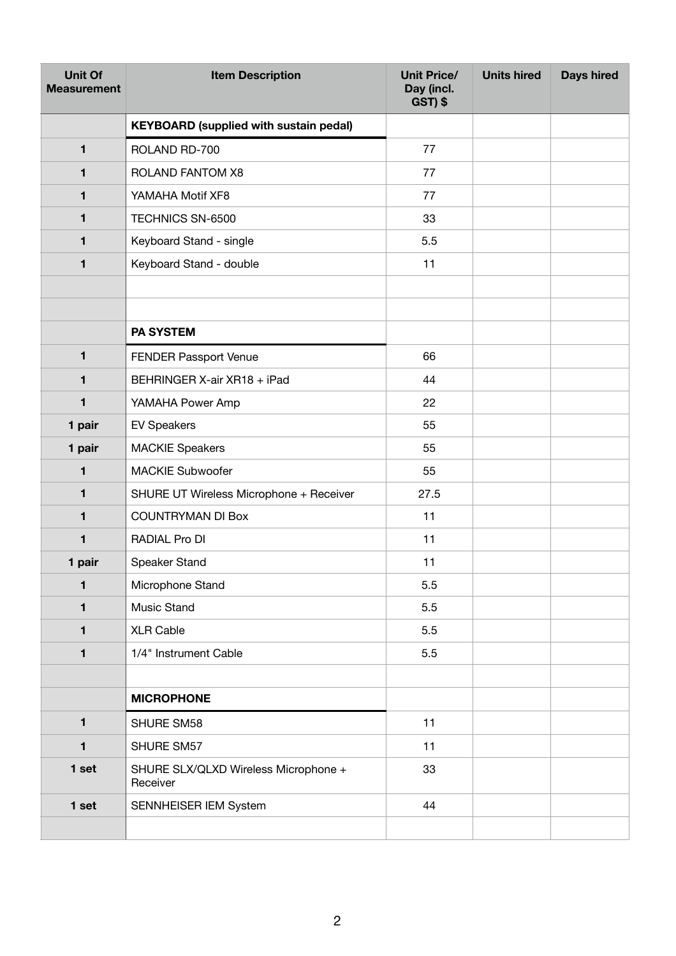| <b>Unit Of</b><br><b>Measurement</b> | <b>Item Description</b>                          | <b>Unit Price/</b><br>Day (incl.<br>GST) \$ | <b>Units hired</b> | <b>Days hired</b> |
|--------------------------------------|--------------------------------------------------|---------------------------------------------|--------------------|-------------------|
|                                      | <b>KEYBOARD (supplied with sustain pedal)</b>    |                                             |                    |                   |
| 1                                    | ROLAND RD-700                                    | 77                                          |                    |                   |
| 1                                    | ROLAND FANTOM X8                                 | 77                                          |                    |                   |
| 1                                    | YAMAHA Motif XF8                                 | 77                                          |                    |                   |
| 1                                    | TECHNICS SN-6500                                 | 33                                          |                    |                   |
| 1                                    | Keyboard Stand - single                          | 5.5                                         |                    |                   |
| 1                                    | Keyboard Stand - double                          | 11                                          |                    |                   |
|                                      |                                                  |                                             |                    |                   |
|                                      | <b>PA SYSTEM</b>                                 |                                             |                    |                   |
| $\blacksquare$                       | <b>FENDER Passport Venue</b>                     | 66                                          |                    |                   |
| 1                                    | BEHRINGER X-air XR18 + iPad                      | 44                                          |                    |                   |
| $\mathbf{1}$                         | YAMAHA Power Amp                                 | 22                                          |                    |                   |
| 1 pair                               | <b>EV Speakers</b>                               | 55                                          |                    |                   |
| 1 pair                               | <b>MACKIE Speakers</b>                           | 55                                          |                    |                   |
| $\blacksquare$                       | <b>MACKIE Subwoofer</b>                          | 55                                          |                    |                   |
| 1                                    | SHURE UT Wireless Microphone + Receiver          | 27.5                                        |                    |                   |
| 1                                    | <b>COUNTRYMAN DI Box</b>                         | 11                                          |                    |                   |
| 1                                    | RADIAL Pro DI                                    | 11                                          |                    |                   |
| 1 pair                               | Speaker Stand                                    | 11                                          |                    |                   |
| $\mathbf{1}$                         | Microphone Stand                                 | 5.5                                         |                    |                   |
| $\mathbf{1}$                         | Music Stand                                      | 5.5                                         |                    |                   |
| 1                                    | <b>XLR Cable</b>                                 | 5.5                                         |                    |                   |
| 1                                    | 1/4" Instrument Cable                            | 5.5                                         |                    |                   |
|                                      |                                                  |                                             |                    |                   |
|                                      | <b>MICROPHONE</b>                                |                                             |                    |                   |
| $\blacksquare$                       | SHURE SM58                                       | 11                                          |                    |                   |
| 1                                    | SHURE SM57                                       | 11                                          |                    |                   |
| 1 set                                | SHURE SLX/QLXD Wireless Microphone +<br>Receiver | 33                                          |                    |                   |
| 1 set                                | SENNHEISER IEM System                            | 44                                          |                    |                   |
|                                      |                                                  |                                             |                    |                   |